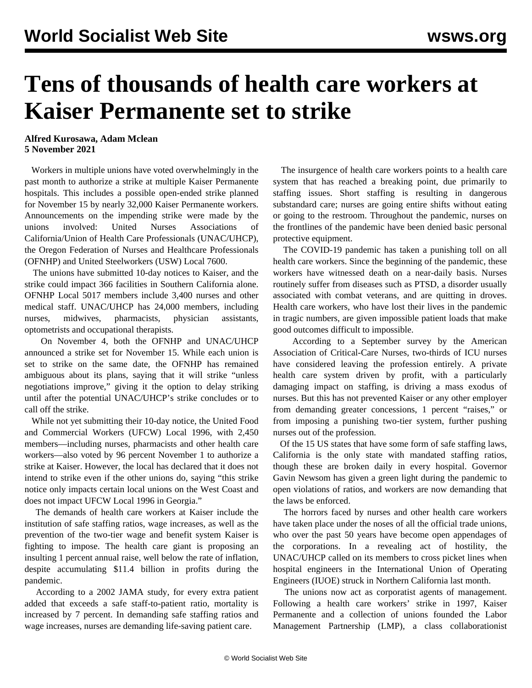## **Tens of thousands of health care workers at Kaiser Permanente set to strike**

**Alfred Kurosawa, Adam Mclean 5 November 2021**

 Workers in multiple unions have voted overwhelmingly in the past month to authorize a strike at multiple Kaiser Permanente hospitals. This includes a possible open-ended strike planned for November 15 by nearly 32,000 Kaiser Permanente workers. Announcements on the impending strike were made by the unions involved: United Nurses Associations of California/Union of Health Care Professionals (UNAC/UHCP), the Oregon Federation of Nurses and Healthcare Professionals (OFNHP) and United Steelworkers (USW) Local 7600.

 The unions have submitted 10-day notices to Kaiser, and the strike could impact 366 facilities in Southern California alone. OFNHP Local 5017 members include 3,400 nurses and other medical staff. UNAC/UHCP has 24,000 members, including nurses, midwives, pharmacists, physician assistants, optometrists and occupational therapists.

 On November 4, both the OFNHP and UNAC/UHCP announced a strike set for November 15. While each union is set to strike on the same date, the OFNHP has remained [ambiguous](http://ofnhp.aft.org/news/kaiser-rns-and-health-professionals-will-strike-starting-november-15th?fbclid=IwAR234XBnHoiULFIi1I8E0Szwo86quiJ2FRsg5SNxwcRQFCMFXgXMxriJnjg) about its plans, saying that it will strike "unless negotiations improve," giving it the option to delay striking until after the potential UNAC/UHCP's strike concludes or to call off the strike.

 While not yet submitting their 10-day notice, the United Food and Commercial Workers (UFCW) Local 1996, with 2,450 members—including nurses, pharmacists and other health care workers—also voted by 96 percent November 1 to authorize a strike at Kaiser. However, the local has declared that it does not intend to strike even if the other unions do, saying "this strike notice only impacts certain local unions on the West Coast and does not impact UFCW Local 1996 in Georgia."

 The demands of health care workers at Kaiser include the institution of safe staffing ratios, wage increases, as well as the prevention of the two-tier wage and benefit system Kaiser is fighting to impose. The health care giant is proposing an insulting 1 percent annual raise, well below the rate of inflation, despite accumulating \$11.4 billion in profits during the pandemic.

 According to a 2002 JAMA study, for every extra patient added that exceeds a safe staff-to-patient ratio, mortality is increased by 7 percent. In demanding safe staffing ratios and wage increases, nurses are demanding life-saving patient care.

 The insurgence of health care workers points to a health care system that has reached a breaking point, due primarily to staffing issues. Short staffing is resulting in dangerous substandard care; nurses are going entire shifts without eating or going to the restroom. Throughout the pandemic, nurses on the frontlines of the pandemic have been denied basic personal protective equipment.

 The COVID-19 pandemic has taken a punishing toll on all health care workers. Since the beginning of the pandemic, these workers have witnessed death on a near-daily basis. Nurses routinely suffer from diseases such as PTSD, a disorder usually associated with combat veterans, and are quitting in droves. Health care workers, who have lost their lives in the pandemic in tragic numbers, are given impossible patient loads that make good outcomes difficult to impossible.

 According to a September [survey](https://www.hearusout.com/) by the American Association of Critical-Care Nurses, two-thirds of ICU nurses have considered leaving the profession entirely. A private health care system driven by profit, with a particularly damaging impact on staffing, is driving a mass exodus of nurses. But this has not prevented Kaiser or any other employer from demanding greater concessions, 1 percent "raises," or from imposing a punishing two-tier system, further pushing nurses out of the profession.

 Of the 15 US states that have some form of safe staffing laws, California is the only state with mandated staffing ratios, though these are broken daily in every hospital. Governor Gavin Newsom has given a green light during the pandemic to open violations of ratios, and workers are now demanding that the [laws](https://www.cga.ct.gov/2004/rpt/2004-r-0212.htm) be enforced.

 The horrors faced by nurses and other health care workers have taken place under the noses of all the official trade unions, who over the past 50 years have become open appendages of the corporations. In a revealing act of hostility, the UNAC/UHCP called on its members to cross picket lines when hospital engineers in the International Union of Operating Engineers (IUOE) struck in Northern California last month.

 The unions now act as corporatist agents of management. Following a health care workers' strike in 1997, Kaiser Permanente and a collection of unions founded the Labor Management Partnership (LMP), a class collaborationist